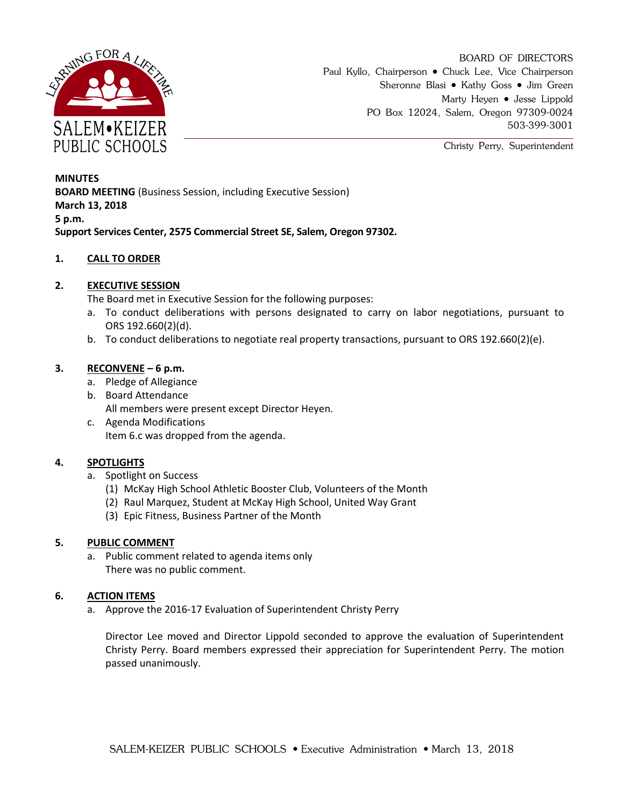

BOARD OF DIRECTORS Paul Kyllo, Chairperson • Chuck Lee, Vice Chairperson Sheronne Blasi • Kathy Goss • Jim Green Marty Heyen • Jesse Lippold PO Box 12024, Salem, Oregon 97309-0024 503-399-3001

Christy Perry, Superintendent

**MINUTES BOARD MEETING** (Business Session, including Executive Session) **March 13, 2018 5 p.m. Support Services Center, 2575 Commercial Street SE, Salem, Oregon 97302.**

### **1. CALL TO ORDER**

### **2. EXECUTIVE SESSION**

The Board met in Executive Session for the following purposes:

- a. To conduct deliberations with persons designated to carry on labor negotiations, pursuant to ORS 192.660(2)(d).
- b. To conduct deliberations to negotiate real property transactions, pursuant to ORS 192.660(2)(e).

#### **3. RECONVENE – 6 p.m.**

- a. Pledge of Allegiance
- b. Board Attendance All members were present except Director Heyen.
- c. Agenda Modifications Item 6.c was dropped from the agenda.

#### **4. SPOTLIGHTS**

- a. Spotlight on Success
	- (1) McKay High School Athletic Booster Club, Volunteers of the Month
	- (2) Raul Marquez, Student at McKay High School, United Way Grant
	- (3) Epic Fitness, Business Partner of the Month

#### **5. PUBLIC COMMENT**

a. Public comment related to agenda items only There was no public comment.

#### **6. ACTION ITEMS**

a. Approve the 2016-17 Evaluation of Superintendent Christy Perry

Director Lee moved and Director Lippold seconded to approve the evaluation of Superintendent Christy Perry. Board members expressed their appreciation for Superintendent Perry. The motion passed unanimously.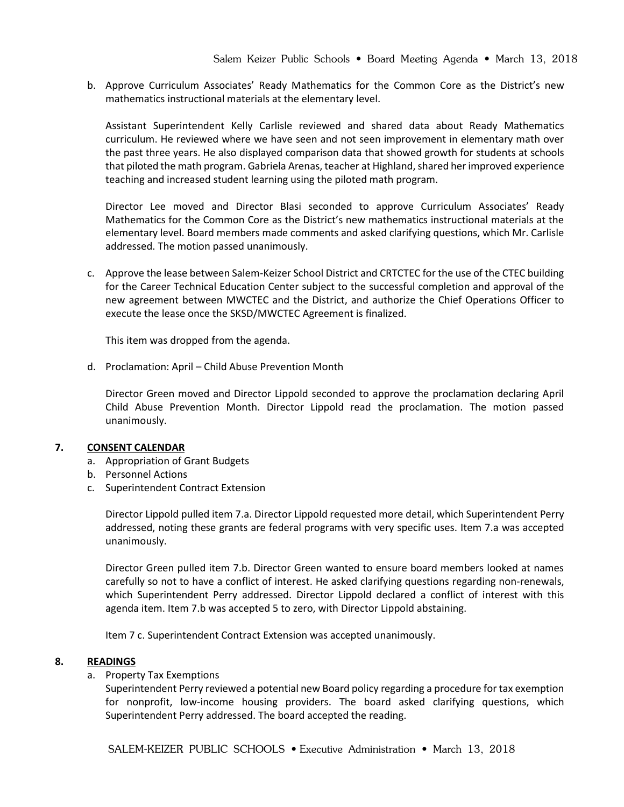b. Approve Curriculum Associates' Ready Mathematics for the Common Core as the District's new mathematics instructional materials at the elementary level.

Assistant Superintendent Kelly Carlisle reviewed and shared data about Ready Mathematics curriculum. He reviewed where we have seen and not seen improvement in elementary math over the past three years. He also displayed comparison data that showed growth for students at schools that piloted the math program. Gabriela Arenas, teacher at Highland, shared her improved experience teaching and increased student learning using the piloted math program.

Director Lee moved and Director Blasi seconded to approve Curriculum Associates' Ready Mathematics for the Common Core as the District's new mathematics instructional materials at the elementary level. Board members made comments and asked clarifying questions, which Mr. Carlisle addressed. The motion passed unanimously.

c. Approve the lease between Salem-Keizer School District and CRTCTEC for the use of the CTEC building for the Career Technical Education Center subject to the successful completion and approval of the new agreement between MWCTEC and the District, and authorize the Chief Operations Officer to execute the lease once the SKSD/MWCTEC Agreement is finalized.

This item was dropped from the agenda.

d. Proclamation: April – Child Abuse Prevention Month

Director Green moved and Director Lippold seconded to approve the proclamation declaring April Child Abuse Prevention Month. Director Lippold read the proclamation. The motion passed unanimously.

#### **7. CONSENT CALENDAR**

- a. Appropriation of Grant Budgets
- b. Personnel Actions
- c. Superintendent Contract Extension

Director Lippold pulled item 7.a. Director Lippold requested more detail, which Superintendent Perry addressed, noting these grants are federal programs with very specific uses. Item 7.a was accepted unanimously.

Director Green pulled item 7.b. Director Green wanted to ensure board members looked at names carefully so not to have a conflict of interest. He asked clarifying questions regarding non-renewals, which Superintendent Perry addressed. Director Lippold declared a conflict of interest with this agenda item. Item 7.b was accepted 5 to zero, with Director Lippold abstaining.

Item 7 c. Superintendent Contract Extension was accepted unanimously.

#### **8. READINGS**

#### a. Property Tax Exemptions

Superintendent Perry reviewed a potential new Board policy regarding a procedure for tax exemption for nonprofit, low-income housing providers. The board asked clarifying questions, which Superintendent Perry addressed. The board accepted the reading.